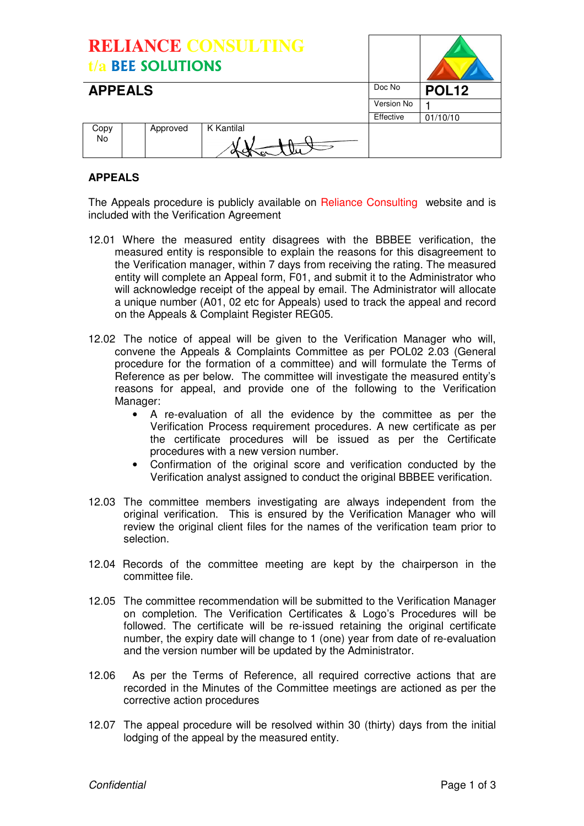| <b>RELIANCE CONSULTING</b><br>t/a BEE SOLUTIONS |          |            |            |              |
|-------------------------------------------------|----------|------------|------------|--------------|
| <b>APPEALS</b>                                  |          |            | Doc No     | <b>POL12</b> |
|                                                 |          |            | Version No |              |
|                                                 |          |            | Effective  | 01/10/10     |
| Copy                                            | Approved | K Kantilal |            |              |
| No.                                             |          |            |            |              |

# **APPEALS**

The Appeals procedure is publicly available on Reliance Consulting website and is included with the Verification Agreement

- 12.01 Where the measured entity disagrees with the BBBEE verification, the measured entity is responsible to explain the reasons for this disagreement to the Verification manager, within 7 days from receiving the rating. The measured entity will complete an Appeal form, F01, and submit it to the Administrator who will acknowledge receipt of the appeal by email. The Administrator will allocate a unique number (A01, 02 etc for Appeals) used to track the appeal and record on the Appeals & Complaint Register REG05.
- 12.02 The notice of appeal will be given to the Verification Manager who will, convene the Appeals & Complaints Committee as per POL02 2.03 (General procedure for the formation of a committee) and will formulate the Terms of Reference as per below. The committee will investigate the measured entity's reasons for appeal, and provide one of the following to the Verification Manager:
	- A re-evaluation of all the evidence by the committee as per the Verification Process requirement procedures. A new certificate as per the certificate procedures will be issued as per the Certificate procedures with a new version number.
	- Confirmation of the original score and verification conducted by the Verification analyst assigned to conduct the original BBBEE verification.
- 12.03 The committee members investigating are always independent from the original verification. This is ensured by the Verification Manager who will review the original client files for the names of the verification team prior to selection.
- 12.04 Records of the committee meeting are kept by the chairperson in the committee file.
- 12.05 The committee recommendation will be submitted to the Verification Manager on completion. The Verification Certificates & Logo's Procedures will be followed. The certificate will be re-issued retaining the original certificate number, the expiry date will change to 1 (one) year from date of re-evaluation and the version number will be updated by the Administrator.
- 12.06 As per the Terms of Reference, all required corrective actions that are recorded in the Minutes of the Committee meetings are actioned as per the corrective action procedures
- 12.07 The appeal procedure will be resolved within 30 (thirty) days from the initial lodging of the appeal by the measured entity.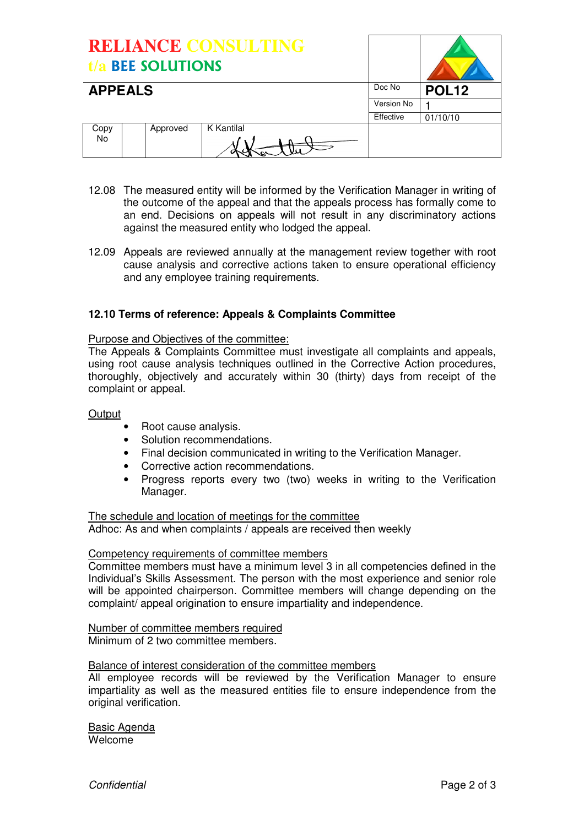| <b>RELIANCE CONSULTING</b><br>t/a BEE SOLUTIONS |  |          |            |              |          |
|-------------------------------------------------|--|----------|------------|--------------|----------|
| <b>APPEALS</b>                                  |  |          | Doc No     | <b>POL12</b> |          |
|                                                 |  |          |            | Version No   |          |
|                                                 |  |          |            | Effective    | 01/10/10 |
| Copy<br>No.                                     |  | Approved | K Kantilal |              |          |

- 12.08 The measured entity will be informed by the Verification Manager in writing of the outcome of the appeal and that the appeals process has formally come to an end. Decisions on appeals will not result in any discriminatory actions against the measured entity who lodged the appeal.
- 12.09 Appeals are reviewed annually at the management review together with root cause analysis and corrective actions taken to ensure operational efficiency and any employee training requirements.

## **12.10 Terms of reference: Appeals & Complaints Committee**

#### Purpose and Objectives of the committee:

The Appeals & Complaints Committee must investigate all complaints and appeals, using root cause analysis techniques outlined in the Corrective Action procedures, thoroughly, objectively and accurately within 30 (thirty) days from receipt of the complaint or appeal.

#### **Output**

- Root cause analysis.
- Solution recommendations.
- Final decision communicated in writing to the Verification Manager.
- Corrective action recommendations.
- Progress reports every two (two) weeks in writing to the Verification Manager.

The schedule and location of meetings for the committee Adhoc: As and when complaints / appeals are received then weekly

## Competency requirements of committee members

Committee members must have a minimum level 3 in all competencies defined in the Individual's Skills Assessment. The person with the most experience and senior role will be appointed chairperson. Committee members will change depending on the complaint/ appeal origination to ensure impartiality and independence.

Number of committee members required Minimum of 2 two committee members.

#### Balance of interest consideration of the committee members

All employee records will be reviewed by the Verification Manager to ensure impartiality as well as the measured entities file to ensure independence from the original verification.

Basic Agenda Welcome

Confidential **Page 2 of 3** Confidential **Page 2 of 3**